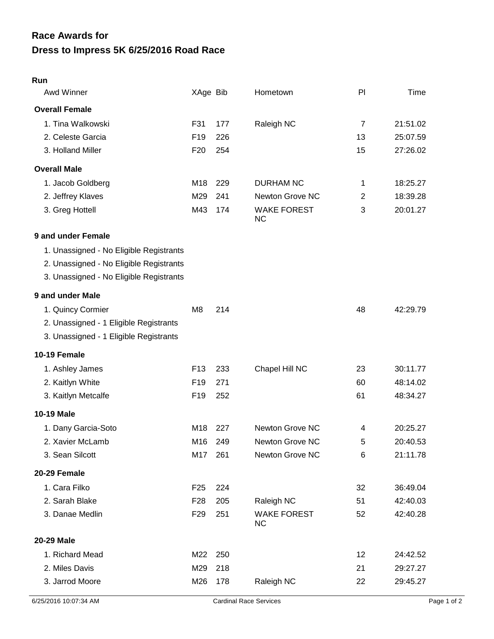| Run                                                                                                                           |                 |     |                                 |                |          |
|-------------------------------------------------------------------------------------------------------------------------------|-----------------|-----|---------------------------------|----------------|----------|
| Awd Winner                                                                                                                    | XAge Bib        |     | Hometown                        | PI             | Time     |
| <b>Overall Female</b>                                                                                                         |                 |     |                                 |                |          |
| 1. Tina Walkowski                                                                                                             | F31             | 177 | Raleigh NC                      | $\overline{7}$ | 21:51.02 |
| 2. Celeste Garcia                                                                                                             | F <sub>19</sub> | 226 |                                 | 13             | 25:07.59 |
| 3. Holland Miller                                                                                                             | F <sub>20</sub> | 254 |                                 | 15             | 27:26.02 |
| <b>Overall Male</b>                                                                                                           |                 |     |                                 |                |          |
| 1. Jacob Goldberg                                                                                                             | M18             | 229 | <b>DURHAM NC</b>                | 1              | 18:25.27 |
| 2. Jeffrey Klaves                                                                                                             | M29             | 241 | Newton Grove NC                 | $\overline{2}$ | 18:39.28 |
| 3. Greg Hottell                                                                                                               | M43             | 174 | <b>WAKE FOREST</b><br><b>NC</b> | 3              | 20:01.27 |
| 9 and under Female                                                                                                            |                 |     |                                 |                |          |
| 1. Unassigned - No Eligible Registrants<br>2. Unassigned - No Eligible Registrants<br>3. Unassigned - No Eligible Registrants |                 |     |                                 |                |          |
| 9 and under Male                                                                                                              |                 |     |                                 |                |          |
| 1. Quincy Cormier<br>2. Unassigned - 1 Eligible Registrants<br>3. Unassigned - 1 Eligible Registrants                         | M <sub>8</sub>  | 214 |                                 | 48             | 42:29.79 |
| 10-19 Female                                                                                                                  |                 |     |                                 |                |          |
| 1. Ashley James                                                                                                               | F <sub>13</sub> | 233 | Chapel Hill NC                  | 23             | 30:11.77 |
| 2. Kaitlyn White                                                                                                              | F <sub>19</sub> | 271 |                                 | 60             | 48:14.02 |
| 3. Kaitlyn Metcalfe                                                                                                           | F <sub>19</sub> | 252 |                                 | 61             | 48:34.27 |
| <b>10-19 Male</b>                                                                                                             |                 |     |                                 |                |          |
| 1. Dany Garcia-Soto                                                                                                           | M18             | 227 | Newton Grove NC                 | 4              | 20:25.27 |
| 2. Xavier McLamb                                                                                                              | M16             | 249 | Newton Grove NC                 | 5              | 20:40.53 |
| 3. Sean Silcott                                                                                                               | M17             | 261 | Newton Grove NC                 | 6              | 21:11.78 |
| 20-29 Female                                                                                                                  |                 |     |                                 |                |          |
| 1. Cara Filko                                                                                                                 | F <sub>25</sub> | 224 |                                 | 32             | 36:49.04 |
| 2. Sarah Blake                                                                                                                | F <sub>28</sub> | 205 | Raleigh NC                      | 51             | 42:40.03 |
| 3. Danae Medlin                                                                                                               | F <sub>29</sub> | 251 | <b>WAKE FOREST</b><br><b>NC</b> | 52             | 42:40.28 |
| 20-29 Male                                                                                                                    |                 |     |                                 |                |          |
| 1. Richard Mead                                                                                                               | M22             | 250 |                                 | 12             | 24:42.52 |
| 2. Miles Davis                                                                                                                | M29             | 218 |                                 | 21             | 29:27.27 |
| 3. Jarrod Moore                                                                                                               | M26             | 178 | Raleigh NC                      | 22             | 29:45.27 |